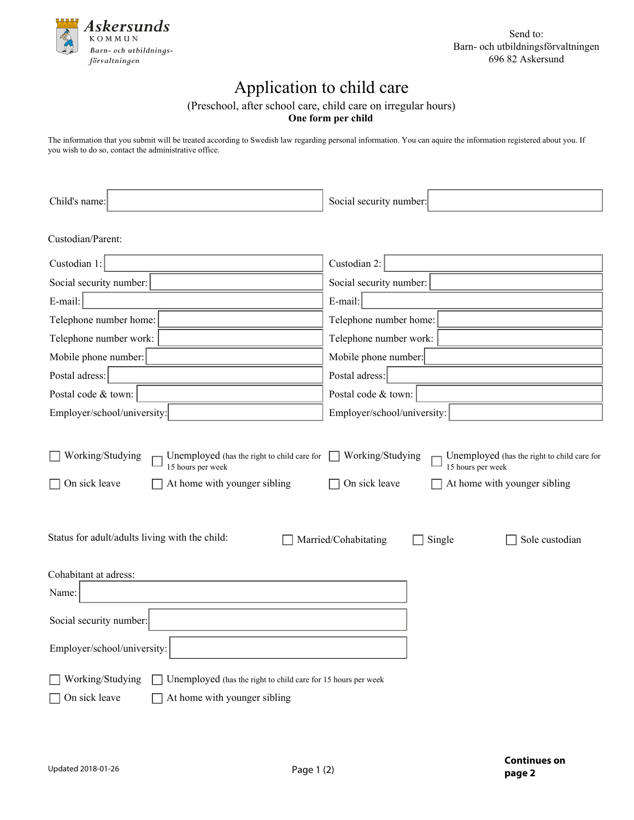

Send to: Barn- och utbildningsförvaltningen 696 82 Askersund

## Application to child care

(Preschool, after school care, child care on irregular hours)

**One form per child**

The information that you submit will be treated according to Swedish law regarding personal information. You can aquire the information registered about you. If you wish to do so, contact the administrative office.

| Child's name:                                                                                                                         | Social security number:                                                                                                               |  |  |
|---------------------------------------------------------------------------------------------------------------------------------------|---------------------------------------------------------------------------------------------------------------------------------------|--|--|
| Custodian/Parent:                                                                                                                     |                                                                                                                                       |  |  |
|                                                                                                                                       |                                                                                                                                       |  |  |
| Custodian 1:                                                                                                                          | Custodian 2:                                                                                                                          |  |  |
| Social security number:                                                                                                               | Social security number:                                                                                                               |  |  |
| E-mail:                                                                                                                               | E-mail:                                                                                                                               |  |  |
| Telephone number home:                                                                                                                | Telephone number home:                                                                                                                |  |  |
| Telephone number work:                                                                                                                | Telephone number work:                                                                                                                |  |  |
| Mobile phone number:                                                                                                                  | Mobile phone number:                                                                                                                  |  |  |
| Postal adress:                                                                                                                        | Postal adress:                                                                                                                        |  |  |
| Postal code & town:                                                                                                                   | Postal code & town:                                                                                                                   |  |  |
| Employer/school/university:                                                                                                           | Employer/school/university:                                                                                                           |  |  |
| Working/Studying<br>Unemployed (has the right to child care for<br>15 hours per week<br>On sick leave<br>At home with younger sibling | Working/Studying<br>Unemployed (has the right to child care for<br>15 hours per week<br>On sick leave<br>At home with younger sibling |  |  |
| Status for adult/adults living with the child:                                                                                        | Married/Cohabitating<br>Single<br>Sole custodian                                                                                      |  |  |
| Cohabitant at adress:                                                                                                                 |                                                                                                                                       |  |  |
| Name:                                                                                                                                 |                                                                                                                                       |  |  |
| Social security number:                                                                                                               |                                                                                                                                       |  |  |
| Employer/school/university:                                                                                                           |                                                                                                                                       |  |  |
| Working/Studying<br>Unemployed (has the right to child care for 15 hours per week<br>On sick leave<br>At home with younger sibling    |                                                                                                                                       |  |  |